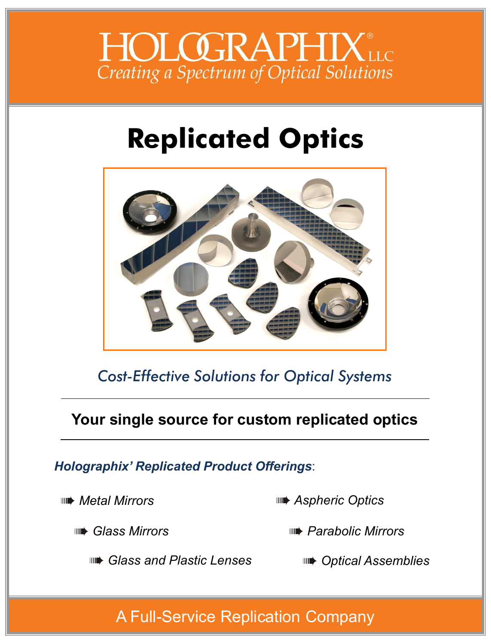

# **Replicated Optics**



*Cost-Effective Solutions for Optical Systems*

# **Your single source for custom replicated optics**

# *Holographix' Replicated Product Offerings*:

*Metal Mirrors*

*Aspheric Optics*

*Glass Mirrors*

*Parabolic Mirrors*

*Glass and Plastic Lenses*

*Optical Assemblies*

# A Full-Service Replication Company